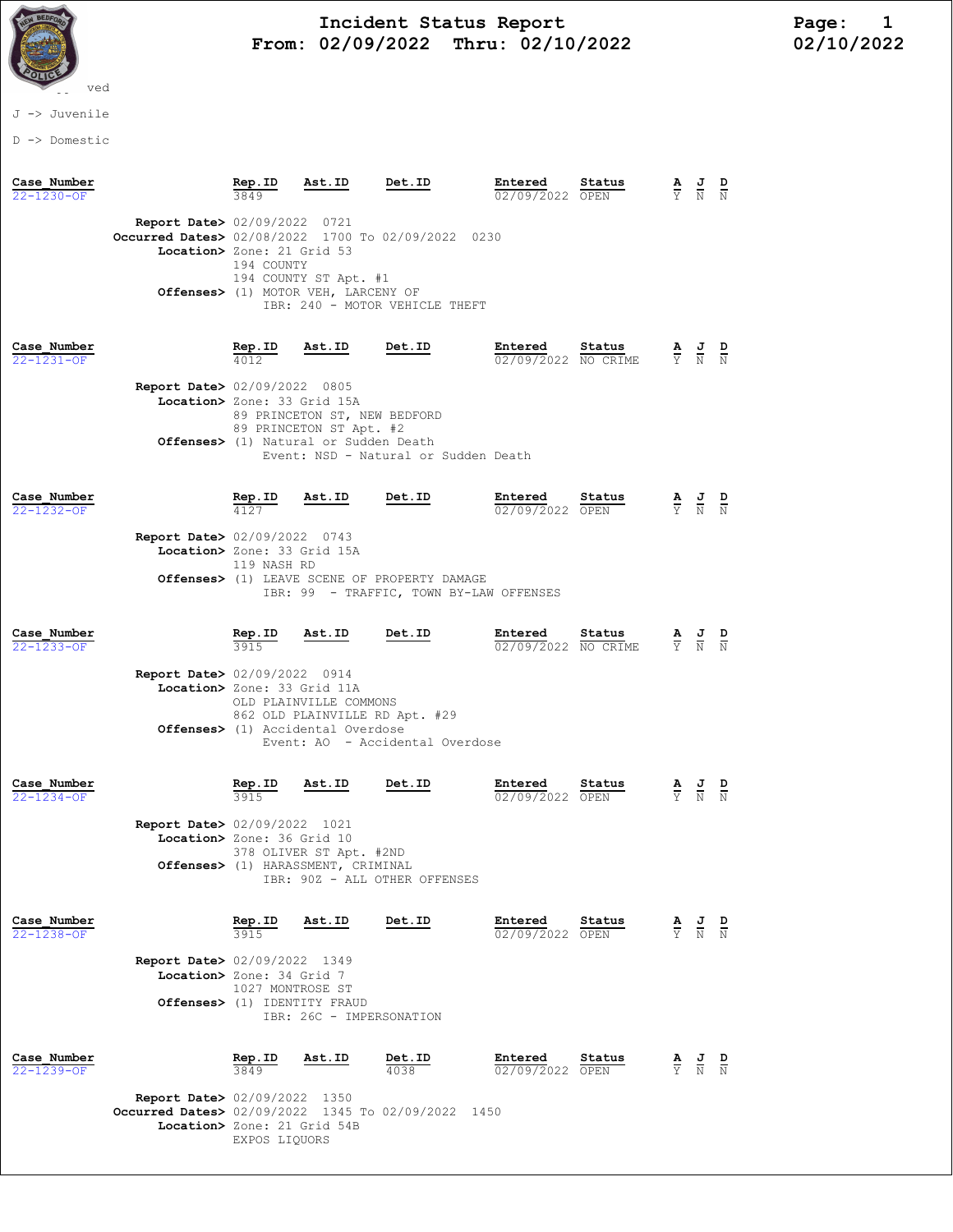

# Incident Status Report<br>02/09/2022 Thru: 02/10/2022 102/10/2022 From: 02/09/2022 Thru: 02/10/2022

J -> Juvenile

D -> Domestic

| Case Number<br>22-1230-OF       |                                                                                                                             | Rep.ID                          | Ast.ID                                                                                                            | Det.ID                                                                                                      | Entered<br>02/09/2022 OPEN     | Status |                                 |                                                                                                 |               |
|---------------------------------|-----------------------------------------------------------------------------------------------------------------------------|---------------------------------|-------------------------------------------------------------------------------------------------------------------|-------------------------------------------------------------------------------------------------------------|--------------------------------|--------|---------------------------------|-------------------------------------------------------------------------------------------------|---------------|
|                                 | <b>Report Date&gt; 02/09/2022 0721</b><br>Occurred Dates> 02/08/2022 1700 To 02/09/2022 0230<br>Location> Zone: 21 Grid 53  | 194 COUNTY                      | 194 COUNTY ST Apt. #1<br>Offenses> (1) MOTOR VEH, LARCENY OF                                                      | IBR: 240 - MOTOR VEHICLE THEFT                                                                              |                                |        |                                 |                                                                                                 |               |
| Case Number<br>$22 - 1231 - OF$ | <b>Report Date&gt; 02/09/2022 0805</b><br>Location> Zone: 33 Grid 15A                                                       | Rep.ID                          | <u>Ast.ID</u><br>89 PRINCETON ST, NEW BEDFORD<br>89 PRINCETON ST Apt. #2<br>Offenses> (1) Natural or Sudden Death | Det.ID<br>Event: NSD - Natural or Sudden Death                                                              | Entered<br>02/09/2022 NO CRIME | Status |                                 | $\frac{\mathbf{A}}{\mathbf{Y}}$ $\frac{\mathbf{J}}{\mathbf{N}}$ $\frac{\mathbf{D}}{\mathbf{N}}$ |               |
| Case Number<br>$22 - 1232 - 0F$ | <b>Report Date&gt;</b> 02/09/2022 0743<br>Location> Zone: 33 Grid 15A                                                       | Rep.ID<br>4127<br>119 NASH RD   | Ast.ID                                                                                                            | Det.ID<br><b>Offenses&gt;</b> (1) LEAVE SCENE OF PROPERTY DAMAGE<br>IBR: 99 - TRAFFIC, TOWN BY-LAW OFFENSES | Entered<br>02/09/2022 OPEN     | Status |                                 | $\frac{\mathbf{A}}{\mathbf{Y}}$ $\frac{\mathbf{J}}{\mathbf{N}}$ $\frac{\mathbf{D}}{\mathbf{N}}$ |               |
| Case Number<br>22-1233-OF       | <b>Report Date&gt; 02/09/2022 0914</b><br>Location> Zone: 33 Grid 11A                                                       | <b>Rep.ID</b><br>3915           | Ast.ID<br>OLD PLAINVILLE COMMONS<br>862 OLD PLAINVILLE RD Apt. #29<br>Offenses> (1) Accidental Overdose           | Det.ID<br>Event: AO - Accidental Overdose                                                                   | Entered<br>02/09/2022 NO CRIME | Status | $\frac{\mathbf{A}}{\mathbf{Y}}$ | $\frac{1}{N}$                                                                                   | $\frac{D}{N}$ |
| Case Number<br>$22 - 1234 - 0F$ | <b>Report Date&gt; 02/09/2022 1021</b><br>Location> Zone: 36 Grid 10                                                        | <u>Rep.ID</u><br>3915           | Ast.ID<br>378 OLIVER ST Apt. #2ND<br>Offenses> (1) HARASSMENT, CRIMINAL                                           | Det.ID<br>IBR: 90Z - ALL OTHER OFFENSES                                                                     | Entered<br>02/09/2022 OPEN     | Status | $\frac{\mathbf{A}}{\Upsilon}$   | $\frac{J}{N}$ $\frac{D}{N}$                                                                     |               |
| Case Number<br>22-1238-OF       | <b>Report Date&gt; 02/09/2022 1349</b><br>Location> Zone: 34 Grid 7                                                         | Rep.ID<br>1027 MONTROSE ST      | Ast.ID<br>Offenses> (1) IDENTITY FRAUD<br>IBR: 26C - IMPERSONATION                                                | Det.ID                                                                                                      | Entered<br>02/09/2022 OPEN     | Status | $\frac{\mathbf{A}}{\mathbf{Y}}$ | $\frac{J}{N}$                                                                                   | $\frac{D}{N}$ |
| Case Number<br>22-1239-OF       | <b>Report Date&gt; 02/09/2022 1350</b><br>Occurred Dates> 02/09/2022 1345 To 02/09/2022 1450<br>Location> Zone: 21 Grid 54B | Rep.ID<br>3849<br>EXPOS LIQUORS | Ast.ID                                                                                                            | Det.ID<br>4038                                                                                              | Entered<br>02/09/2022 OPEN     | Status | $\frac{\mathbf{A}}{\mathrm{Y}}$ | $\frac{J}{N}$                                                                                   | $\frac{D}{N}$ |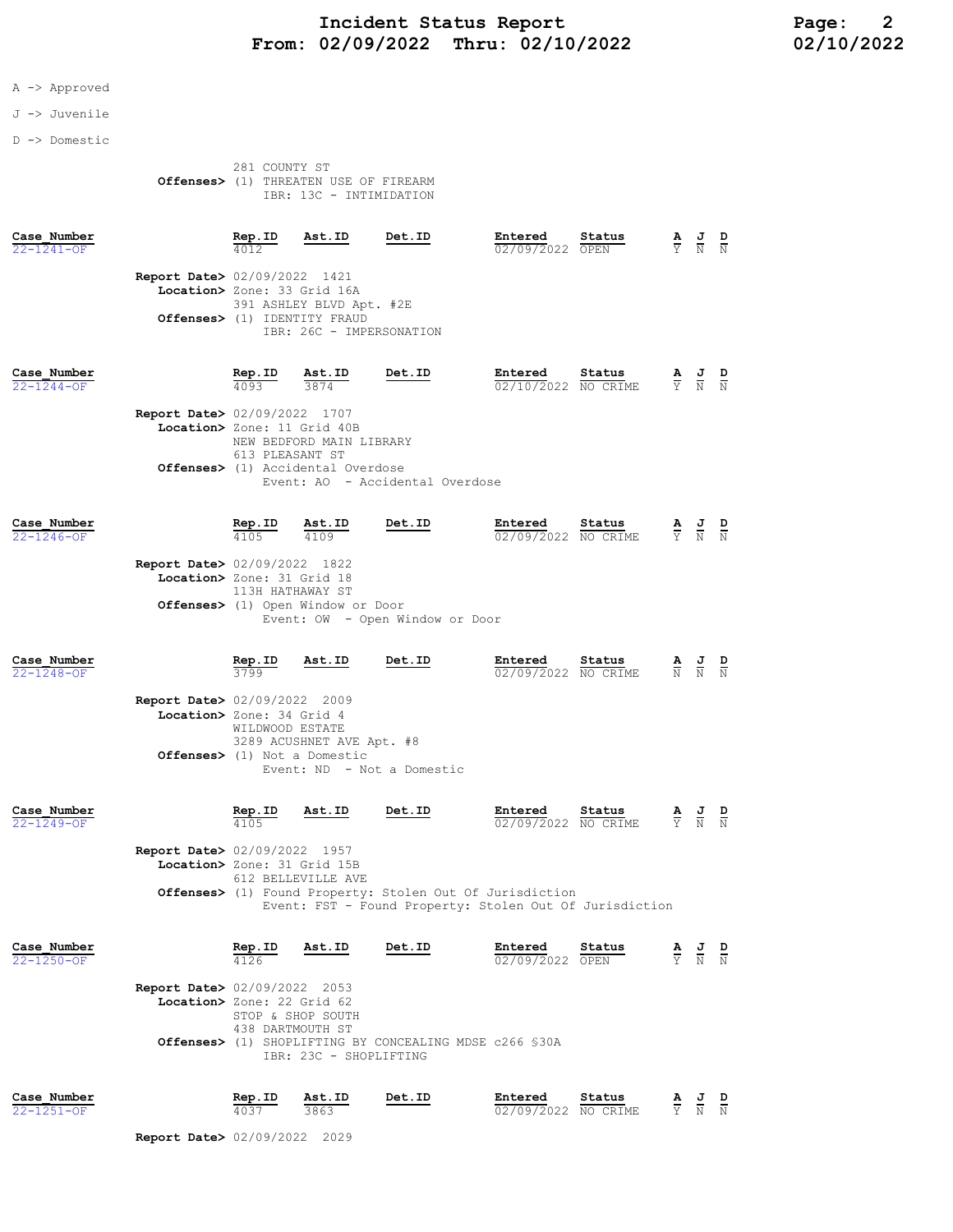## Incident Status Report<br>02/09/2022 Thru: 02/10/2022 102/10/2022 22 From: 02/09/2022 Thru: 02/10/2022

### A -> Approved

#### J -> Juvenile

D -> Domestic

|                                       | 281 COUNTY ST |  |                         |
|---------------------------------------|---------------|--|-------------------------|
| Offenses> (1) THREATEN USE OF FIREARM |               |  |                         |
|                                       |               |  | IBR: 13C - INTIMIDATION |

| Case Number<br>$22 - 1241 - 0F$ |                                                                       | Rep.ID                                             | Ast.ID                                                                                                    | <b>Det.ID</b>                                                                                                                 | Entered<br>02/09/2022          | Status<br>OPEN | $\frac{\mathbf{A}}{\mathbf{Y}}$ | $\frac{J}{N}$                                                   | $\frac{\mathbf{D}}{N}$ |
|---------------------------------|-----------------------------------------------------------------------|----------------------------------------------------|-----------------------------------------------------------------------------------------------------------|-------------------------------------------------------------------------------------------------------------------------------|--------------------------------|----------------|---------------------------------|-----------------------------------------------------------------|------------------------|
|                                 | <b>Report Date&gt; 02/09/2022</b> 1421<br>Location> Zone: 33 Grid 16A |                                                    | 391 ASHLEY BLVD Apt. #2E<br>Offenses> (1) IDENTITY FRAUD<br>IBR: 26C - IMPERSONATION                      |                                                                                                                               |                                |                |                                 |                                                                 |                        |
| Case Number<br>$22 - 1244 - OF$ | <b>Report Date&gt;</b> 02/09/2022 1707<br>Location> Zone: 11 Grid 40B | $\frac{\text{Rep. ID}}{4093}$<br>613 PLEASANT ST   | $\frac{\texttt{Ast.ID}}{3874}$<br>NEW BEDFORD MAIN LIBRARY<br><b>Offenses&gt;</b> (1) Accidental Overdose | Det.ID<br>Event: AO - Accidental Overdose                                                                                     | Entered<br>02/10/2022 NO CRIME | Status         | $\frac{\mathbf{A}}{\mathbf{Y}}$ | $\frac{J}{N}$                                                   | $\frac{D}{N}$          |
| Case Number<br>$22 - 1246 - OF$ | Report Date> 02/09/2022 1822<br>Location> Zone: 31 Grid 18            | $\frac{\texttt{Rep.ID}}{4105}$<br>113H HATHAWAY ST | $\frac{\texttt{Ast.ID}}{4109}$<br>Offenses> (1) Open Window or Door                                       | Det.ID<br>Event: OW - Open Window or Door                                                                                     | Entered<br>02/09/2022 NO CRIME | Status         | 륯                               | $\frac{J}{N}$                                                   | $\frac{D}{N}$          |
| Case Number<br>22-1248-OF       | <b>Report Date&gt;</b> 02/09/2022 2009<br>Location> Zone: 34 Grid 4   | $rac{\text{Rep. ID}}{3799}$<br>WILDWOOD ESTATE     | Ast.ID<br>3289 ACUSHNET AVE Apt. #8<br>Offenses> (1) Not a Domestic                                       | Det.ID<br>Event: ND - Not a Domestic                                                                                          | Entered<br>02/09/2022 NO CRIME | Status         | $\frac{\mathbf{A}}{N}$          |                                                                 |                        |
| Case Number<br>22-1249-OF       | <b>Report Date&gt;</b> 02/09/2022 1957<br>Location> Zone: 31 Grid 15B | $\frac{\text{Rep. ID}}{4105}$                      | <u>Ast.ID</u><br>612 BELLEVILLE AVE                                                                       | Det.ID<br>Offenses> (1) Found Property: Stolen Out Of Jurisdiction<br>Event: FST - Found Property: Stolen Out Of Jurisdiction | Entered<br>02/09/2022 NO CRIME | Status         |                                 | $\frac{\mathbf{A}}{\mathbf{Y}}$ $\frac{\mathbf{J}}{\mathbf{N}}$ | $\frac{D}{N}$          |
| Case Number<br>$22 - 1250 - OF$ | Report Date> 02/09/2022 2053<br>Location> Zone: 22 Grid 62            | Rep.ID<br>438 DARTMOUTH ST                         | Ast.ID<br>STOP & SHOP SOUTH<br>IBR: 23C - SHOPLIFTING                                                     | Det.ID<br><b>Offenses&gt;</b> (1) SHOPLIFTING BY CONCEALING MDSE c266 \$30A                                                   | Entered<br>02/09/2022 OPEN     | Status         |                                 | $\frac{J}{N}$                                                   | $\frac{D}{N}$          |
| Case Number<br>$22 - 1251 - OF$ |                                                                       | Rep.ID<br>4037                                     | Ast.ID<br>3863                                                                                            | Det.ID                                                                                                                        | Entered<br>02/09/2022 NO CRIME | Status         | Ÿ                               | $\frac{J}{N}$ $\frac{D}{N}$                                     |                        |

Report Date> 02/09/2022 2029